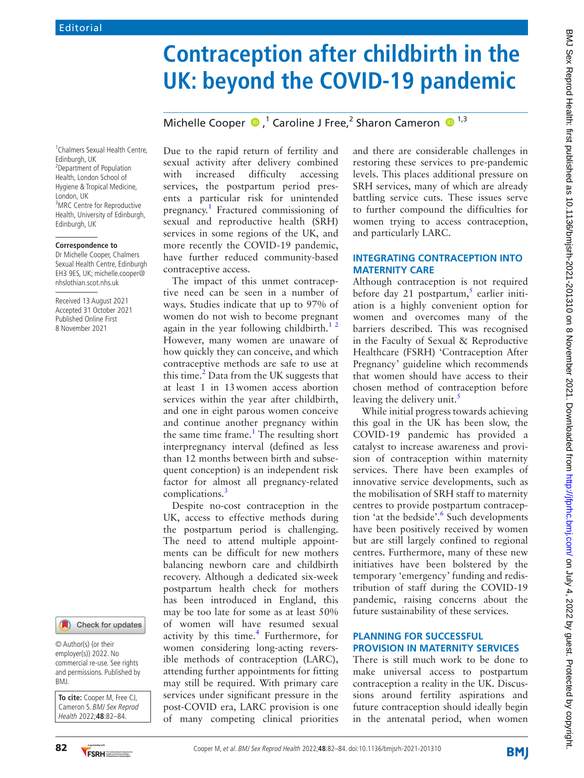# **Contraception after childbirth in the UK: beyond the COVID-19 pandemic**

MichelleCooper  $\bullet$ ,<sup>1</sup> Caroline J Free,<sup>2</sup> Sharon Cameron  $\bullet$ <sup>1,3</sup>

1 Chalmers Sexual Health Centre, Edinburgh, UK <sup>2</sup> Department of Population Health, London School of Hygiene & Tropical Medicine, London, UK <sup>3</sup>MRC Centre for Reproductive Health, University of Edinburgh, Edinburgh, UK

#### **Correspondence to**

Dr Michelle Cooper, Chalmers Sexual Health Centre, Edinburgh EH3 9ES, UK; michelle.cooper@ nhslothian.scot.nhs.uk

Received 13 August 2021 Accepted 31 October 2021 Published Online First 8 November 2021



© Author(s) (or their employer(s)) 2022. No commercial re-use. See rights and permissions. Published by BMJ.

**To cite:** Cooper M, Free CJ, Cameron S. BMJ Sex Reprod Health 2022;**48**:82–84.

Due to the rapid return of fertility and sexual activity after delivery combined with increased difficulty accessing services, the postpartum period presents a particular risk for unintended pregnancy.<sup>1</sup> Fractured commissioning of sexual and reproductive health (SRH) services in some regions of the UK, and more recently the COVID-19 pandemic, have further reduced community-based contraceptive access.

The impact of this unmet contraceptive need can be seen in a number of ways. Studies indicate that up to 97% of women do not wish to become pregnant again in the year following childbirth.<sup>12</sup> However, many women are unaware of how quickly they can conceive, and which contraceptive methods are safe to use at this time. $2$  Data from the UK suggests that at least 1 in 13women access abortion services within the year after childbirth, and one in eight parous women conceive and continue another pregnancy within the same time frame. $<sup>1</sup>$  $<sup>1</sup>$  $<sup>1</sup>$  The resulting short</sup> interpregnancy interval (defined as less than 12 months between birth and subsequent conception) is an independent risk factor for almost all pregnancy-related complications.<sup>[3](#page-1-2)</sup>

Despite no-cost contraception in the UK, access to effective methods during the postpartum period is challenging. The need to attend multiple appointments can be difficult for new mothers balancing newborn care and childbirth recovery. Although a dedicated six-week postpartum health check for mothers has been introduced in England, this may be too late for some as at least 50% of women will have resumed sexual activity by this time.<sup>[4](#page-1-3)</sup> Furthermore, for women considering long-acting reversible methods of contraception (LARC), attending further appointments for fitting may still be required. With primary care services under significant pressure in the post-COVID era, LARC provision is one of many competing clinical priorities

and there are considerable challenges in restoring these services to pre-pandemic levels. This places additional pressure on SRH services, many of which are already battling service cuts. These issues serve to further compound the difficulties for women trying to access contraception, and particularly LARC.

#### **INTEGRATING CONTRACEPTION INTO MATERNITY CARE**

Although contraception is not required before day 21 postpartum,<sup>[5](#page-1-4)</sup> earlier initiation is a highly convenient option for women and overcomes many of the barriers described. This was recognised in the Faculty of Sexual & Reproductive Healthcare (FSRH) 'Contraception After Pregnancy' guideline which recommends that women should have access to their chosen method of contraception before leaving the delivery unit. $\frac{5}{5}$ 

While initial progress towards achieving this goal in the UK has been slow, the COVID-19 pandemic has provided a catalyst to increase awareness and provision of contraception within maternity services. There have been examples of innovative service developments, such as the mobilisation of SRH staff to maternity centres to provide postpartum contraception 'at the bedside'.<sup>6</sup> Such developments have been positively received by women but are still largely confined to regional centres. Furthermore, many of these new initiatives have been bolstered by the temporary 'emergency' funding and redistribution of staff during the COVID-19 pandemic, raising concerns about the future sustainability of these services.

#### **PLANNING FOR SUCCESSFUL PROVISION IN MATERNITY SERVICES**

There is still much work to be done to make universal access to postpartum contraception a reality in the UK. Discussions around fertility aspirations and future contraception should ideally begin in the antenatal period, when women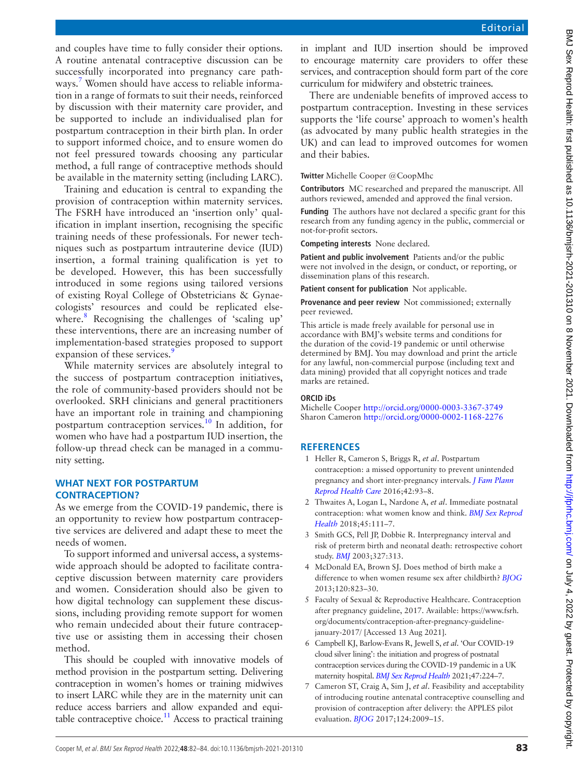and couples have time to fully consider their options. A routine antenatal contraceptive discussion can be successfully incorporated into pregnancy care pathways[.7](#page-1-6) Women should have access to reliable information in a range of formats to suit their needs, reinforced by discussion with their maternity care provider, and be supported to include an individualised plan for postpartum contraception in their birth plan. In order to support informed choice, and to ensure women do not feel pressured towards choosing any particular method, a full range of contraceptive methods should be available in the maternity setting (including LARC).

Training and education is central to expanding the provision of contraception within maternity services. The FSRH have introduced an 'insertion only' qualification in implant insertion, recognising the specific training needs of these professionals. For newer techniques such as postpartum intrauterine device (IUD) insertion, a formal training qualification is yet to be developed. However, this has been successfully introduced in some regions using tailored versions of existing Royal College of Obstetricians & Gynaecologists' resources and could be replicated else-where.<sup>[8](#page-2-0)</sup> Recognising the challenges of 'scaling up' these interventions, there are an increasing number of implementation-based strategies proposed to support expansion of these services.<sup>[9](#page-2-1)</sup>

While maternity services are absolutely integral to the success of postpartum contraception initiatives, the role of community-based providers should not be overlooked. SRH clinicians and general practitioners have an important role in training and championing postpartum contraception services.[10](#page-2-2) In addition, for women who have had a postpartum IUD insertion, the follow-up thread check can be managed in a community setting.

#### **WHAT NEXT FOR POSTPARTUM CONTRACEPTION?**

As we emerge from the COVID-19 pandemic, there is an opportunity to review how postpartum contraceptive services are delivered and adapt these to meet the needs of women.

To support informed and universal access, a systemswide approach should be adopted to facilitate contraceptive discussion between maternity care providers and women. Consideration should also be given to how digital technology can supplement these discussions, including providing remote support for women who remain undecided about their future contraceptive use or assisting them in accessing their chosen method.

This should be coupled with innovative models of method provision in the postpartum setting. Delivering contraception in women's homes or training midwives to insert LARC while they are in the maternity unit can reduce access barriers and allow expanded and equitable contraceptive choice.<sup>11</sup> Access to practical training

in implant and IUD insertion should be improved to encourage maternity care providers to offer these services, and contraception should form part of the core curriculum for midwifery and obstetric trainees.

There are undeniable benefits of improved access to postpartum contraception. Investing in these services supports the 'life course' approach to women's health (as advocated by many public health strategies in the UK) and can lead to improved outcomes for women and their babies.

**Twitter** Michelle Cooper [@CoopMhc](https://twitter.com/CoopMhc)

**Contributors** MC researched and prepared the manuscript. All authors reviewed, amended and approved the final version.

**Funding** The authors have not declared a specific grant for this research from any funding agency in the public, commercial or not-for-profit sectors.

**Competing interests** None declared.

**Patient and public involvement** Patients and/or the public were not involved in the design, or conduct, or reporting, or dissemination plans of this research.

**Patient consent for publication** Not applicable.

**Provenance and peer review** Not commissioned; externally peer reviewed.

This article is made freely available for personal use in accordance with BMJ's website terms and conditions for the duration of the covid-19 pandemic or until otherwise determined by BMJ. You may download and print the article for any lawful, non-commercial purpose (including text and data mining) provided that all copyright notices and trade marks are retained.

#### **ORCID iDs**

Michelle Cooper <http://orcid.org/0000-0003-3367-3749> Sharon Cameron <http://orcid.org/0000-0002-1168-2276>

### **REFERENCES**

- <span id="page-1-0"></span>1 Heller R, Cameron S, Briggs R, *et al*. Postpartum contraception: a missed opportunity to prevent unintended pregnancy and short inter-pregnancy intervals. *[J Fam Plann](http://dx.doi.org/10.1136/jfprhc-2014-101165)  [Reprod Health Care](http://dx.doi.org/10.1136/jfprhc-2014-101165)* 2016;42:93–8.
- <span id="page-1-1"></span>2 Thwaites A, Logan L, Nardone A, *et al*. Immediate postnatal contraception: what women know and think. *[BMJ Sex Reprod](http://dx.doi.org/10.1136/bmjsrh-2018-200078)  [Health](http://dx.doi.org/10.1136/bmjsrh-2018-200078)* 2018;45:111–7.
- <span id="page-1-2"></span>3 Smith GCS, Pell JP, Dobbie R. Interpregnancy interval and risk of preterm birth and neonatal death: retrospective cohort study. *[BMJ](http://dx.doi.org/10.1136/bmj.327.7410.313)* 2003;327:313.
- <span id="page-1-3"></span>4 McDonald EA, Brown SJ. Does method of birth make a difference to when women resume sex after childbirth? *[BJOG](http://dx.doi.org/10.1111/1471-0528.12166)* 2013;120:823–30.
- <span id="page-1-4"></span>5 Faculty of Sexual & Reproductive Healthcare. Contraception after pregnancy guideline, 2017. Available: [https://www.fsrh.](https://www.fsrh.org/documents/contraception-after-pregnancy-guideline-january-2017/) [org/documents/contraception-after-pregnancy-guideline](https://www.fsrh.org/documents/contraception-after-pregnancy-guideline-january-2017/)[january-2017/](https://www.fsrh.org/documents/contraception-after-pregnancy-guideline-january-2017/) [Accessed 13 Aug 2021].
- <span id="page-1-5"></span>6 Campbell KJ, Barlow-Evans R, Jewell S, *et al*. 'Our COVID-19 cloud silver lining': the initiation and progress of postnatal contraception services during the COVID-19 pandemic in a UK maternity hospital. *[BMJ Sex Reprod Health](http://dx.doi.org/10.1136/bmjsrh-2020-200764)* 2021;47:224–7.
- <span id="page-1-6"></span>7 Cameron ST, Craig A, Sim J, *et al*. Feasibility and acceptability of introducing routine antenatal contraceptive counselling and provision of contraception after delivery: the APPLES pilot evaluation. *[BJOG](http://dx.doi.org/10.1111/1471-0528.14674)* 2017;124:2009–15.